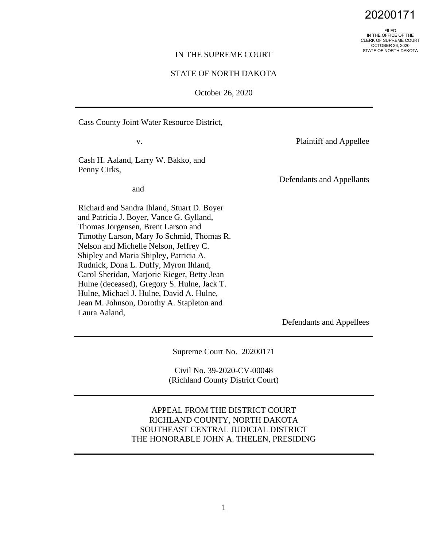20200171

FILED IN THE OFFICE OF THE CLERK OF SUPREME COURT OCTOBER 26, 2020 STATE OF NORTH DAKOTA

#### IN THE SUPREME COURT

### STATE OF NORTH DAKOTA

October 26, 2020

Cass County Joint Water Resource District,

v.

Plaintiff and Appellee

Cash H. Aaland, Larry W. Bakko, and Penny Cirks,

and

Richard and Sandra Ihland, Stuart D. Boyer and Patricia J. Boyer, Vance G. Gylland, Thomas Jorgensen, Brent Larson and Timothy Larson, Mary Jo Schmid, Thomas R. Nelson and Michelle Nelson, Jeffrey C. Shipley and Maria Shipley, Patricia A. Rudnick, Dona L. Duffy, Myron Ihland, Carol Sheridan, Marjorie Rieger, Betty Jean Hulne (deceased), Gregory S. Hulne, Jack T. Hulne, Michael J. Hulne, David A. Hulne, Jean M. Johnson, Dorothy A. Stapleton and Laura Aaland,

Defendants and Appellants

Defendants and Appellees

Supreme Court No. 20200171

Civil No. 39-2020-CV-00048 (Richland County District Court)

APPEAL FROM THE DISTRICT COURT RICHLAND COUNTY, NORTH DAKOTA SOUTHEAST CENTRAL JUDICIAL DISTRICT THE HONORABLE JOHN A. THELEN, PRESIDING

1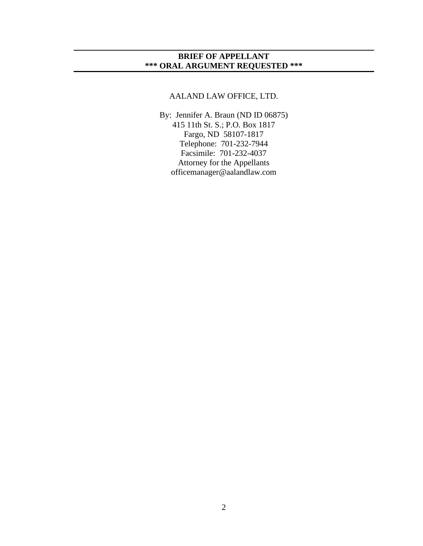## **BRIEF OF APPELLANT \*\*\* ORAL ARGUMENT REQUESTED \*\*\***

# AALAND LAW OFFICE, LTD.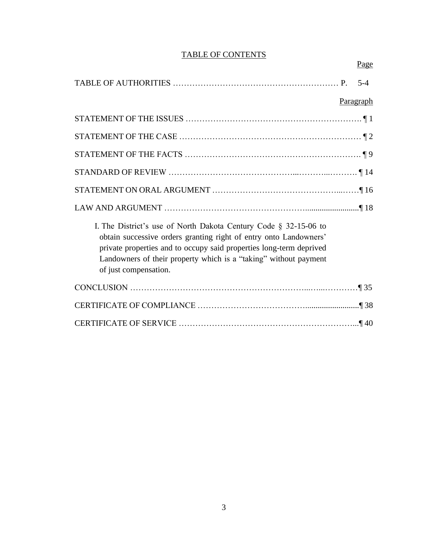# TABLE OF CONTENTS

Page

|                                                                                                                                                                                                                                                                                                              | $5-4$     |
|--------------------------------------------------------------------------------------------------------------------------------------------------------------------------------------------------------------------------------------------------------------------------------------------------------------|-----------|
|                                                                                                                                                                                                                                                                                                              | Paragraph |
|                                                                                                                                                                                                                                                                                                              |           |
|                                                                                                                                                                                                                                                                                                              |           |
|                                                                                                                                                                                                                                                                                                              |           |
|                                                                                                                                                                                                                                                                                                              |           |
|                                                                                                                                                                                                                                                                                                              |           |
|                                                                                                                                                                                                                                                                                                              |           |
| I. The District's use of North Dakota Century Code $\S$ 32-15-06 to<br>obtain successive orders granting right of entry onto Landowners'<br>private properties and to occupy said properties long-term deprived<br>Landowners of their property which is a "taking" without payment<br>of just compensation. |           |
|                                                                                                                                                                                                                                                                                                              |           |
|                                                                                                                                                                                                                                                                                                              |           |
|                                                                                                                                                                                                                                                                                                              |           |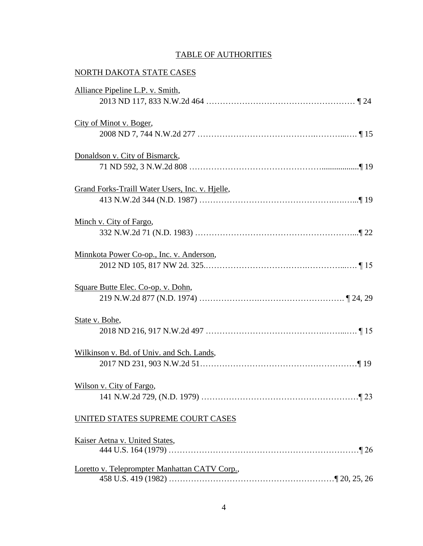# TABLE OF AUTHORITIES

# NORTH DAKOTA STATE CASES

| Alliance Pipeline L.P. v. Smith,                |  |
|-------------------------------------------------|--|
|                                                 |  |
| City of Minot v. Boger,                         |  |
|                                                 |  |
| Donaldson v. City of Bismarck,                  |  |
|                                                 |  |
| Grand Forks-Traill Water Users, Inc. v. Hielle, |  |
|                                                 |  |
| Minch v. City of Fargo,                         |  |
|                                                 |  |
| Minnkota Power Co-op., Inc. v. Anderson,        |  |
|                                                 |  |
| Square Butte Elec. Co-op. v. Dohn,              |  |
|                                                 |  |
| State v. Bohe,                                  |  |
|                                                 |  |
| Wilkinson v. Bd. of Univ. and Sch. Lands,       |  |
|                                                 |  |
| Wilson v. City of Fargo,                        |  |
|                                                 |  |
| UNITED STATES SUPREME COURT CASES               |  |
|                                                 |  |
| Kaiser Aetna v. United States,                  |  |
| Loretto v. Teleprompter Manhattan CATV Corp.,   |  |
|                                                 |  |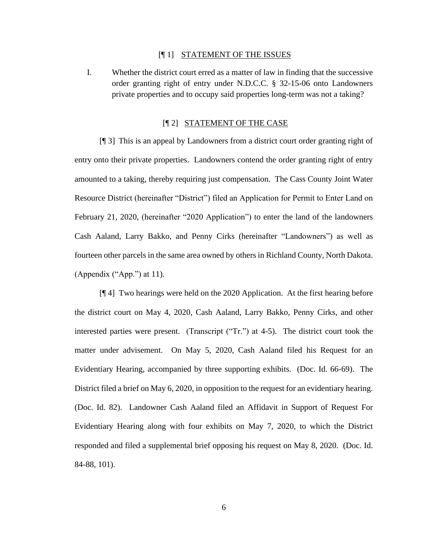#### [¶ 1] STATEMENT OF THE ISSUES

I. Whether the district court erred as a matter of law in finding that the successive order granting right of entry under N.D.C.C. § 32-15-06 onto Landowners private properties and to occupy said properties long-term was not a taking?

### [¶ 2] STATEMENT OF THE CASE

[¶ 3] This is an appeal by Landowners from a district court order granting right of entry onto their private properties. Landowners contend the order granting right of entry amounted to a taking, thereby requiring just compensation. The Cass County Joint Water Resource District (hereinafter "District") filed an Application for Permit to Enter Land on February 21, 2020, (hereinafter "2020 Application") to enter the land of the landowners Cash Aaland, Larry Bakko, and Penny Cirks (hereinafter "Landowners") as well as fourteen other parcels in the same area owned by others in Richland County, North Dakota. (Appendix ("App.") at 11).

[¶ 4] Two hearings were held on the 2020 Application. At the first hearing before the district court on May 4, 2020, Cash Aaland, Larry Bakko, Penny Cirks, and other interested parties were present. (Transcript ("Tr.") at 4-5). The district court took the matter under advisement. On May 5, 2020, Cash Aaland filed his Request for an Evidentiary Hearing, accompanied by three supporting exhibits. (Doc. Id. 66-69). The District filed a brief on May 6, 2020, in opposition to the request for an evidentiary hearing. (Doc. Id. 82). Landowner Cash Aaland filed an Affidavit in Support of Request For Evidentiary Hearing along with four exhibits on May 7, 2020, to which the District responded and filed a supplemental brief opposing his request on May 8, 2020. (Doc. Id. 84-88, 101).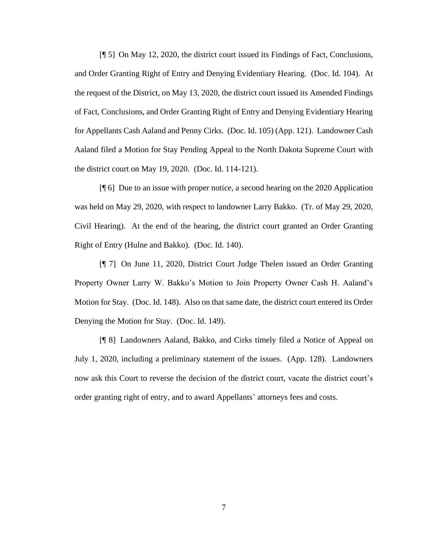[¶ 5] On May 12, 2020, the district court issued its Findings of Fact, Conclusions, and Order Granting Right of Entry and Denying Evidentiary Hearing. (Doc. Id. 104). At the request of the District, on May 13, 2020, the district court issued its Amended Findings of Fact, Conclusions, and Order Granting Right of Entry and Denying Evidentiary Hearing for Appellants Cash Aaland and Penny Cirks. (Doc. Id. 105) (App. 121). Landowner Cash Aaland filed a Motion for Stay Pending Appeal to the North Dakota Supreme Court with the district court on May 19, 2020. (Doc. Id. 114-121).

[¶ 6] Due to an issue with proper notice, a second hearing on the 2020 Application was held on May 29, 2020, with respect to landowner Larry Bakko. (Tr. of May 29, 2020, Civil Hearing). At the end of the hearing, the district court granted an Order Granting Right of Entry (Hulne and Bakko). (Doc. Id. 140).

[¶ 7] On June 11, 2020, District Court Judge Thelen issued an Order Granting Property Owner Larry W. Bakko's Motion to Join Property Owner Cash H. Aaland's Motion for Stay. (Doc. Id. 148). Also on that same date, the district court entered its Order Denying the Motion for Stay. (Doc. Id. 149).

[¶ 8] Landowners Aaland, Bakko, and Cirks timely filed a Notice of Appeal on July 1, 2020, including a preliminary statement of the issues. (App. 128). Landowners now ask this Court to reverse the decision of the district court, vacate the district court's order granting right of entry, and to award Appellants' attorneys fees and costs.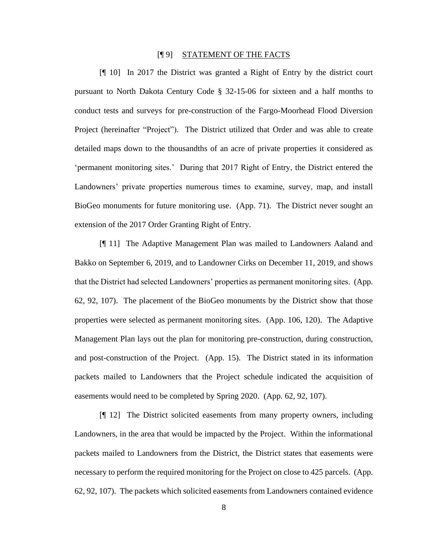#### [¶ 9] STATEMENT OF THE FACTS

[¶ 10] In 2017 the District was granted a Right of Entry by the district court pursuant to North Dakota Century Code § 32-15-06 for sixteen and a half months to conduct tests and surveys for pre-construction of the Fargo-Moorhead Flood Diversion Project (hereinafter "Project"). The District utilized that Order and was able to create detailed maps down to the thousandths of an acre of private properties it considered as 'permanent monitoring sites.' During that 2017 Right of Entry, the District entered the Landowners' private properties numerous times to examine, survey, map, and install BioGeo monuments for future monitoring use. (App. 71). The District never sought an extension of the 2017 Order Granting Right of Entry.

[¶ 11] The Adaptive Management Plan was mailed to Landowners Aaland and Bakko on September 6, 2019, and to Landowner Cirks on December 11, 2019, and shows that the District had selected Landowners' properties as permanent monitoring sites. (App. 62, 92, 107). The placement of the BioGeo monuments by the District show that those properties were selected as permanent monitoring sites. (App. 106, 120). The Adaptive Management Plan lays out the plan for monitoring pre-construction, during construction, and post-construction of the Project. (App. 15). The District stated in its information packets mailed to Landowners that the Project schedule indicated the acquisition of easements would need to be completed by Spring 2020. (App. 62, 92, 107).

[¶ 12] The District solicited easements from many property owners, including Landowners, in the area that would be impacted by the Project. Within the informational packets mailed to Landowners from the District, the District states that easements were necessary to perform the required monitoring for the Project on close to 425 parcels. (App. 62, 92, 107). The packets which solicited easements from Landowners contained evidence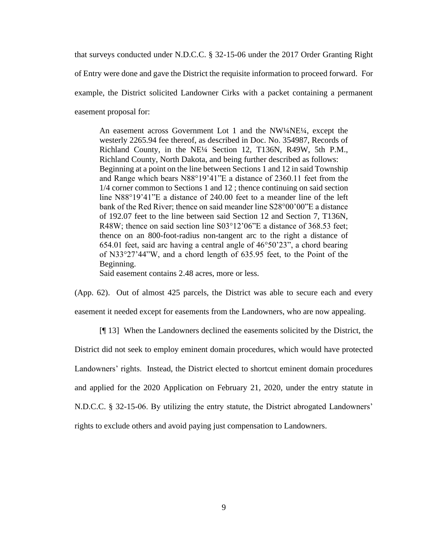that surveys conducted under N.D.C.C. § 32-15-06 under the 2017 Order Granting Right

of Entry were done and gave the District the requisite information to proceed forward. For

example, the District solicited Landowner Cirks with a packet containing a permanent

easement proposal for:

An easement across Government Lot 1 and the NW¼NE¼, except the westerly 2265.94 fee thereof, as described in Doc. No. 354987, Records of Richland County, in the NE¼ Section 12, T136N, R49W, 5th P.M., Richland County, North Dakota, and being further described as follows: Beginning at a point on the line between Sections 1 and 12 in said Township and Range which bears N88°19'41"E a distance of 2360.11 feet from the 1/4 corner common to Sections 1 and 12 ; thence continuing on said section line N88°19'41"E a distance of 240.00 feet to a meander line of the left bank of the Red River; thence on said meander line S28°00'00"E a distance of 192.07 feet to the line between said Section 12 and Section 7, T136N, R48W; thence on said section line S03°12'06"E a distance of 368.53 feet; thence on an 800-foot-radius non-tangent arc to the right a distance of 654.01 feet, said arc having a central angle of 46°50'23", a chord bearing of N33°27'44"W, and a chord length of 635.95 feet, to the Point of the Beginning.

Said easement contains 2.48 acres, more or less.

(App. 62). Out of almost 425 parcels, the District was able to secure each and every easement it needed except for easements from the Landowners, who are now appealing.

[¶ 13] When the Landowners declined the easements solicited by the District, the

District did not seek to employ eminent domain procedures, which would have protected

Landowners' rights. Instead, the District elected to shortcut eminent domain procedures

and applied for the 2020 Application on February 21, 2020, under the entry statute in

N.D.C.C. § 32-15-06. By utilizing the entry statute, the District abrogated Landowners'

rights to exclude others and avoid paying just compensation to Landowners.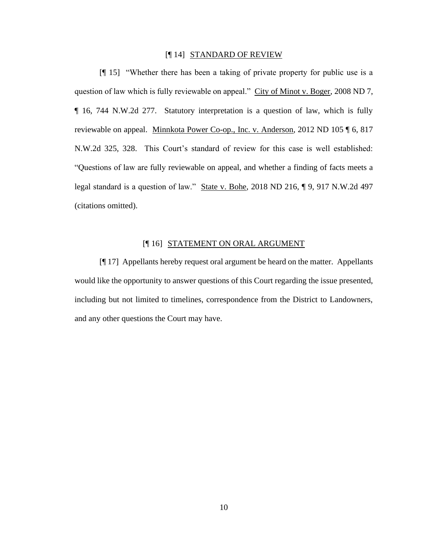#### [¶ 14] STANDARD OF REVIEW

[¶ 15] "Whether there has been a taking of private property for public use is a question of law which is fully reviewable on appeal." City of Minot v. Boger, 2008 ND 7, ¶ 16, 744 N.W.2d 277. Statutory interpretation is a question of law, which is fully reviewable on appeal. Minnkota Power Co-op., Inc. v. Anderson, 2012 ND 105 ¶ 6, 817 N.W.2d 325, 328. This Court's standard of review for this case is well established: "Questions of law are fully reviewable on appeal, and whether a finding of facts meets a legal standard is a question of law." State v. Bohe, 2018 ND 216, ¶ 9, 917 N.W.2d 497 (citations omitted).

### [¶ 16] STATEMENT ON ORAL ARGUMENT

[¶ 17] Appellants hereby request oral argument be heard on the matter. Appellants would like the opportunity to answer questions of this Court regarding the issue presented, including but not limited to timelines, correspondence from the District to Landowners, and any other questions the Court may have.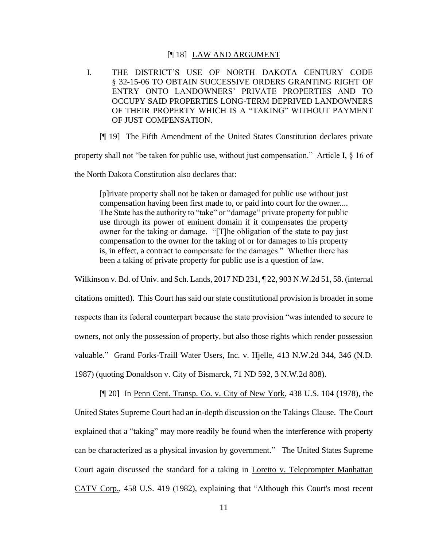#### [¶ 18] LAW AND ARGUMENT

- I. THE DISTRICT'S USE OF NORTH DAKOTA CENTURY CODE § 32-15-06 TO OBTAIN SUCCESSIVE ORDERS GRANTING RIGHT OF ENTRY ONTO LANDOWNERS' PRIVATE PROPERTIES AND TO OCCUPY SAID PROPERTIES LONG-TERM DEPRIVED LANDOWNERS OF THEIR PROPERTY WHICH IS A "TAKING" WITHOUT PAYMENT OF JUST COMPENSATION.
	- [¶ 19] The Fifth Amendment of the United States Constitution declares private

property shall not "be taken for public use, without just compensation." Article I, § 16 of

the North Dakota Constitution also declares that:

[p]rivate property shall not be taken or damaged for public use without just compensation having been first made to, or paid into court for the owner.... The State has the authority to "take" or "damage" private property for public use through its power of eminent domain if it compensates the property owner for the taking or damage. "[T]he obligation of the state to pay just compensation to the owner for the taking of or for damages to his property is, in effect, a contract to compensate for the damages." Whether there has been a taking of private property for public use is a question of law.

Wilkinson v. Bd. of Univ. and Sch. Lands, 2017 ND 231, ¶ 22, 903 N.W.2d 51, 58. (internal

citations omitted). This Court has said our state constitutional provision is broader in some respects than its federal counterpart because the state provision "was intended to secure to owners, not only the possession of property, but also those rights which render possession valuable." Grand Forks-Traill Water Users, Inc. v. Hjelle, 413 N.W.2d 344, 346 (N.D. 1987) (quoting Donaldson v. City of Bismarck, 71 ND 592, 3 N.W.2d 808).

[¶ 20] In Penn Cent. Transp. Co. v. City of New York, 438 U.S. 104 (1978), the United States Supreme Court had an in-depth discussion on the Takings Clause. The Court explained that a "taking" may more readily be found when the interference with property can be characterized as a physical invasion by government." The United States Supreme Court again discussed the standard for a taking in Loretto v. Teleprompter Manhattan CATV Corp., 458 U.S. 419 (1982), explaining that "Although this Court's most recent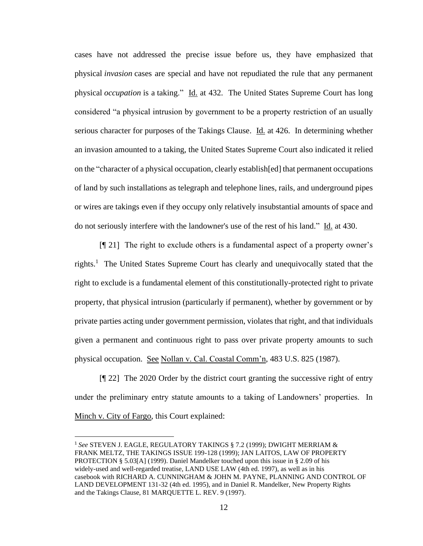cases have not addressed the precise issue before us, they have emphasized that physical *invasion* cases are special and have not repudiated the rule that any permanent physical *occupation* is a taking." Id. at 432. The United States Supreme Court has long considered "a physical intrusion by government to be a property restriction of an usually serious character for purposes of the Takings Clause. Id. at 426. In determining whether an invasion amounted to a taking, the United States Supreme Court also indicated it relied on the "character of a physical occupation, clearly establish[ed] that permanent occupations of land by such installations as telegraph and telephone lines, rails, and underground pipes or wires are takings even if they occupy only relatively insubstantial amounts of space and do not seriously interfere with the landowner's use of the rest of his land." Id. at 430.

[¶ 21] The right to exclude others is a fundamental aspect of a property owner's rights.<sup>1</sup> The United States Supreme Court has clearly and unequivocally stated that the right to exclude is a fundamental element of this constitutionally-protected right to private property, that physical intrusion (particularly if permanent), whether by government or by private parties acting under government permission, violates that right, and that individuals given a permanent and continuous right to pass over private property amounts to such physical occupation. See Nollan v. Cal. Coastal Comm'n, 483 U.S. 825 (1987).

[¶ 22] The 2020 Order by the district court granting the successive right of entry under the preliminary entry statute amounts to a taking of Landowners' properties. In Minch v. City of Fargo, this Court explained:

<sup>1</sup> *See* STEVEN J. EAGLE, REGULATORY TAKINGS § 7.2 (1999); DWIGHT MERRIAM & FRANK MELTZ, THE TAKINGS ISSUE 199-128 (1999); JAN LAITOS, LAW OF PROPERTY PROTECTION § 5.03[A] (1999). Daniel Mandelker touched upon this issue in § 2.09 of his widely-used and well-regarded treatise, LAND USE LAW (4th ed. 1997), as well as in his casebook with RICHARD A. CUNNINGHAM & JOHN M. PAYNE, PLANNING AND CONTROL OF LAND DEVELOPMENT 131-32 (4th ed. 1995), and in Daniel R. Mandelker, New Property Rights and the Takings Clause, 81 MARQUETTE L. REV. 9 (1997).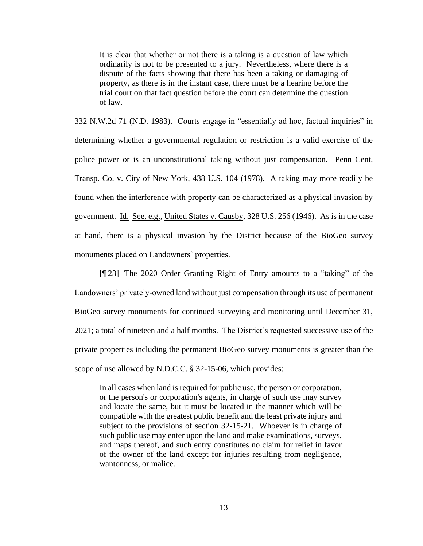It is clear that whether or not there is a taking is a question of law which ordinarily is not to be presented to a jury. Nevertheless, where there is a dispute of the facts showing that there has been a taking or damaging of property, as there is in the instant case, there must be a hearing before the trial court on that fact question before the court can determine the question of law.

332 N.W.2d 71 (N.D. 1983). Courts engage in "essentially ad hoc, factual inquiries" in determining whether a governmental regulation or restriction is a valid exercise of the police power or is an unconstitutional taking without just compensation. Penn Cent. Transp. Co. v. City of New York*,* 438 U.S. 104 (1978)*.* A taking may more readily be found when the interference with property can be characterized as a physical invasion by government. Id. See, e.g., United States v. Causby, 328 U.S. 256 (1946). As is in the case at hand, there is a physical invasion by the District because of the BioGeo survey monuments placed on Landowners' properties.

[¶ 23] The 2020 Order Granting Right of Entry amounts to a "taking" of the Landowners' privately-owned land without just compensation through its use of permanent BioGeo survey monuments for continued surveying and monitoring until December 31, 2021; a total of nineteen and a half months. The District's requested successive use of the private properties including the permanent BioGeo survey monuments is greater than the scope of use allowed by N.D.C.C. § 32-15-06, which provides:

In all cases when land is required for public use, the person or corporation, or the person's or corporation's agents, in charge of such use may survey and locate the same, but it must be located in the manner which will be compatible with the greatest public benefit and the least private injury and subject to the provisions of section 32-15-21. Whoever is in charge of such public use may enter upon the land and make examinations, surveys, and maps thereof, and such entry constitutes no claim for relief in favor of the owner of the land except for injuries resulting from negligence, wantonness, or malice.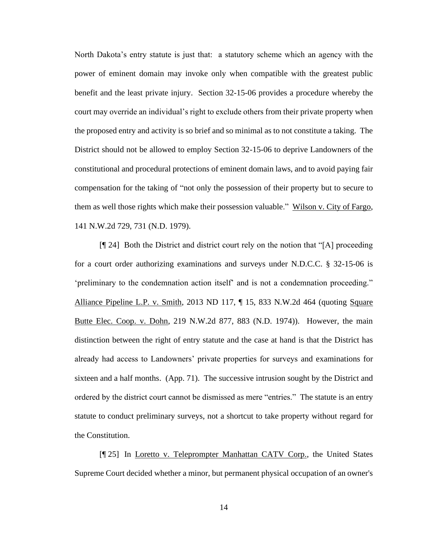North Dakota's entry statute is just that: a statutory scheme which an agency with the power of eminent domain may invoke only when compatible with the greatest public benefit and the least private injury. Section 32-15-06 provides a procedure whereby the court may override an individual's right to exclude others from their private property when the proposed entry and activity is so brief and so minimal as to not constitute a taking. The District should not be allowed to employ Section 32-15-06 to deprive Landowners of the constitutional and procedural protections of eminent domain laws, and to avoid paying fair compensation for the taking of "not only the possession of their property but to secure to them as well those rights which make their possession valuable." Wilson v. City of Fargo, 141 N.W.2d 729, 731 (N.D. 1979).

[¶ 24] Both the District and district court rely on the notion that "[A] proceeding for a court order authorizing examinations and surveys under N.D.C.C. § 32-15-06 is 'preliminary to the condemnation action itself' and is not a condemnation proceeding." Alliance Pipeline L.P. v. Smith, 2013 ND 117, ¶ 15, 833 N.W.2d 464 (quoting Square Butte Elec. Coop. v. Dohn, 219 N.W.2d 877, 883 (N.D. 1974)). However, the main distinction between the right of entry statute and the case at hand is that the District has already had access to Landowners' private properties for surveys and examinations for sixteen and a half months. (App. 71). The successive intrusion sought by the District and ordered by the district court cannot be dismissed as mere "entries." The statute is an entry statute to conduct preliminary surveys, not a shortcut to take property without regard for the Constitution.

[¶ 25] In Loretto v. Teleprompter Manhattan CATV Corp., the United States Supreme Court decided whether a minor, but permanent physical occupation of an owner's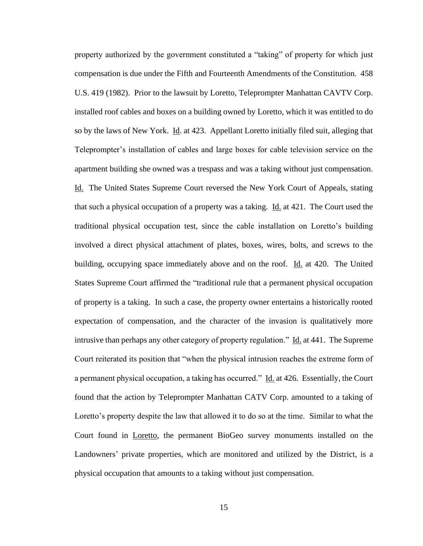property authorized by the government constituted a "taking" of property for which just compensation is due under the Fifth and Fourteenth Amendments of the Constitution. 458 U.S. 419 (1982). Prior to the lawsuit by Loretto, Teleprompter Manhattan CAVTV Corp. installed roof cables and boxes on a building owned by Loretto, which it was entitled to do so by the laws of New York. Id. at 423. Appellant Loretto initially filed suit, alleging that Teleprompter's installation of cables and large boxes for cable television service on the apartment building she owned was a trespass and was a taking without just compensation. Id. The United States Supreme Court reversed the New York Court of Appeals, stating that such a physical occupation of a property was a taking. Id. at 421. The Court used the traditional physical occupation test, since the cable installation on Loretto's building involved a direct physical attachment of plates, boxes, wires, bolts, and screws to the building, occupying space immediately above and on the roof. Id. at 420. The United States Supreme Court affirmed the "traditional rule that a permanent physical occupation of property is a taking. In such a case, the property owner entertains a historically rooted expectation of compensation, and the character of the invasion is qualitatively more intrusive than perhaps any other category of property regulation." Id. at 441. The Supreme Court reiterated its position that "when the physical intrusion reaches the extreme form of a permanent physical occupation, a taking has occurred." Id. at 426. Essentially, the Court found that the action by Teleprompter Manhattan CATV Corp. amounted to a taking of Loretto's property despite the law that allowed it to do so at the time. Similar to what the Court found in Loretto, the permanent BioGeo survey monuments installed on the Landowners' private properties, which are monitored and utilized by the District, is a physical occupation that amounts to a taking without just compensation.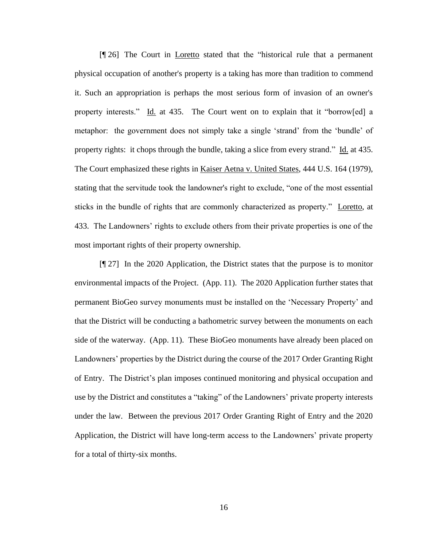[¶ 26] The Court in Loretto stated that the "historical rule that a permanent physical occupation of another's property is a taking has more than tradition to commend it. Such an appropriation is perhaps the most serious form of invasion of an owner's property interests." Id. at 435. The Court went on to explain that it "borrow[ed] a metaphor: the government does not simply take a single 'strand' from the 'bundle' of property rights: it chops through the bundle, taking a slice from every strand." Id. at 435. The Court emphasized these rights in Kaiser Aetna v. United States, 444 U.S. 164 (1979), stating that the servitude took the landowner's right to exclude, "one of the most essential sticks in the bundle of rights that are commonly characterized as property." Loretto, at 433. The Landowners' rights to exclude others from their private properties is one of the most important rights of their property ownership.

[¶ 27] In the 2020 Application, the District states that the purpose is to monitor environmental impacts of the Project. (App. 11). The 2020 Application further states that permanent BioGeo survey monuments must be installed on the 'Necessary Property' and that the District will be conducting a bathometric survey between the monuments on each side of the waterway. (App. 11). These BioGeo monuments have already been placed on Landowners' properties by the District during the course of the 2017 Order Granting Right of Entry. The District's plan imposes continued monitoring and physical occupation and use by the District and constitutes a "taking" of the Landowners' private property interests under the law. Between the previous 2017 Order Granting Right of Entry and the 2020 Application, the District will have long-term access to the Landowners' private property for a total of thirty-six months.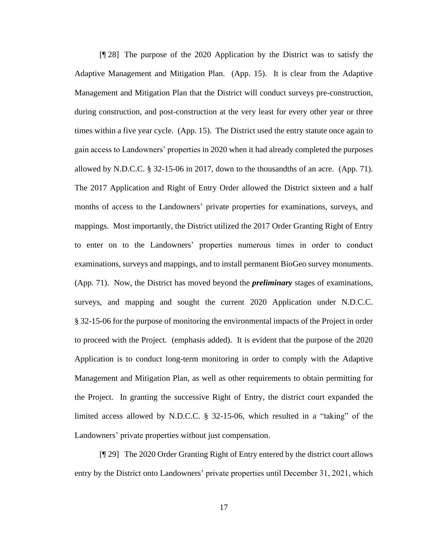[¶ 28] The purpose of the 2020 Application by the District was to satisfy the Adaptive Management and Mitigation Plan. (App. 15). It is clear from the Adaptive Management and Mitigation Plan that the District will conduct surveys pre-construction, during construction, and post-construction at the very least for every other year or three times within a five year cycle. (App. 15). The District used the entry statute once again to gain access to Landowners' properties in 2020 when it had already completed the purposes allowed by N.D.C.C. § 32-15-06 in 2017, down to the thousandths of an acre. (App. 71). The 2017 Application and Right of Entry Order allowed the District sixteen and a half months of access to the Landowners' private properties for examinations, surveys, and mappings. Most importantly, the District utilized the 2017 Order Granting Right of Entry to enter on to the Landowners' properties numerous times in order to conduct examinations, surveys and mappings, and to install permanent BioGeo survey monuments. (App. 71). Now, the District has moved beyond the *preliminary* stages of examinations, surveys, and mapping and sought the current 2020 Application under N.D.C.C. § 32-15-06 for the purpose of monitoring the environmental impacts of the Project in order to proceed with the Project. (emphasis added). It is evident that the purpose of the 2020 Application is to conduct long-term monitoring in order to comply with the Adaptive Management and Mitigation Plan, as well as other requirements to obtain permitting for the Project. In granting the successive Right of Entry, the district court expanded the limited access allowed by N.D.C.C. § 32-15-06, which resulted in a "taking" of the Landowners' private properties without just compensation.

[¶ 29] The 2020 Order Granting Right of Entry entered by the district court allows entry by the District onto Landowners' private properties until December 31, 2021, which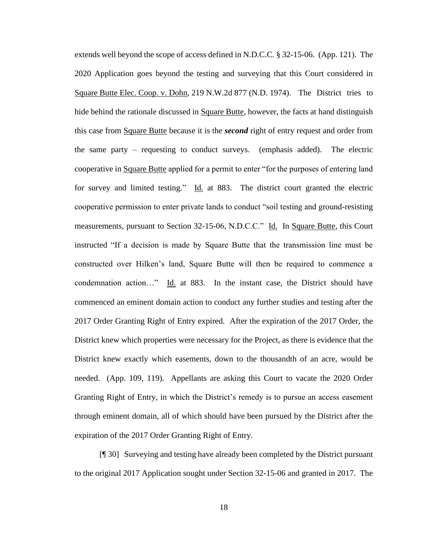extends well beyond the scope of access defined in N.D.C.C. § 32-15-06. (App. 121). The 2020 Application goes beyond the testing and surveying that this Court considered in Square Butte Elec. Coop. v. Dohn, 219 N.W.2d 877 (N.D. 1974). The District tries to hide behind the rationale discussed in Square Butte, however, the facts at hand distinguish this case from Square Butte because it is the *second* right of entry request and order from the same party – requesting to conduct surveys. (emphasis added). The electric cooperative in Square Butte applied for a permit to enter "for the purposes of entering land for survey and limited testing." Id. at 883. The district court granted the electric cooperative permission to enter private lands to conduct "soil testing and ground-resisting measurements, pursuant to Section 32-15-06, N.D.C.C." Id. In Square Butte, this Court instructed "If a decision is made by Square Butte that the transmission line must be constructed over Hilken's land, Square Butte will then be required to commence a condemnation action…" Id. at 883. In the instant case, the District should have commenced an eminent domain action to conduct any further studies and testing after the 2017 Order Granting Right of Entry expired. After the expiration of the 2017 Order, the District knew which properties were necessary for the Project, as there is evidence that the District knew exactly which easements, down to the thousandth of an acre, would be needed. (App. 109, 119). Appellants are asking this Court to vacate the 2020 Order Granting Right of Entry, in which the District's remedy is to pursue an access easement through eminent domain, all of which should have been pursued by the District after the expiration of the 2017 Order Granting Right of Entry.

[¶ 30] Surveying and testing have already been completed by the District pursuant to the original 2017 Application sought under Section 32-15-06 and granted in 2017. The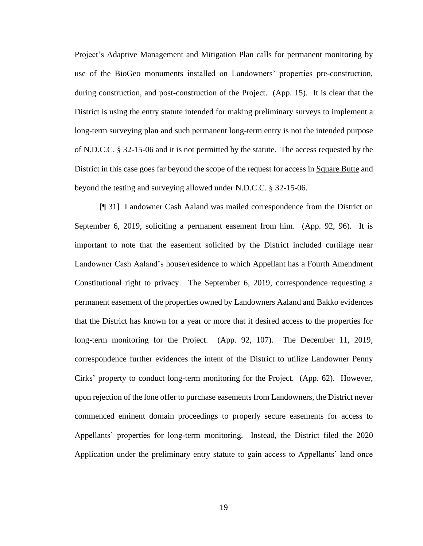Project's Adaptive Management and Mitigation Plan calls for permanent monitoring by use of the BioGeo monuments installed on Landowners' properties pre-construction, during construction, and post-construction of the Project. (App. 15). It is clear that the District is using the entry statute intended for making preliminary surveys to implement a long-term surveying plan and such permanent long-term entry is not the intended purpose of N.D.C.C. § 32-15-06 and it is not permitted by the statute. The access requested by the District in this case goes far beyond the scope of the request for access in Square Butte and beyond the testing and surveying allowed under N.D.C.C. § 32-15-06.

[¶ 31] Landowner Cash Aaland was mailed correspondence from the District on September 6, 2019, soliciting a permanent easement from him. (App. 92, 96). It is important to note that the easement solicited by the District included curtilage near Landowner Cash Aaland's house/residence to which Appellant has a Fourth Amendment Constitutional right to privacy. The September 6, 2019, correspondence requesting a permanent easement of the properties owned by Landowners Aaland and Bakko evidences that the District has known for a year or more that it desired access to the properties for long-term monitoring for the Project. (App. 92, 107). The December 11, 2019, correspondence further evidences the intent of the District to utilize Landowner Penny Cirks' property to conduct long-term monitoring for the Project. (App. 62). However, upon rejection of the lone offer to purchase easements from Landowners, the District never commenced eminent domain proceedings to properly secure easements for access to Appellants' properties for long-term monitoring. Instead, the District filed the 2020 Application under the preliminary entry statute to gain access to Appellants' land once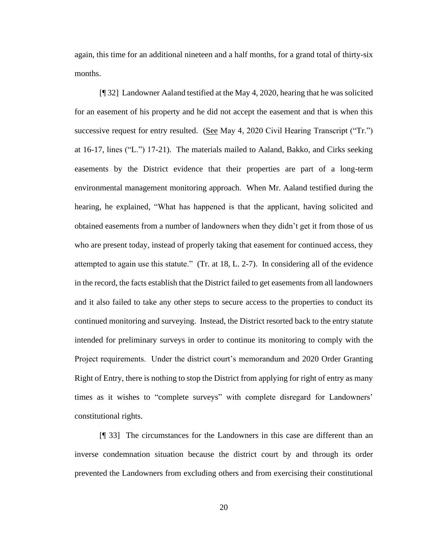again, this time for an additional nineteen and a half months, for a grand total of thirty-six months.

[¶ 32] Landowner Aaland testified at the May 4, 2020, hearing that he was solicited for an easement of his property and he did not accept the easement and that is when this successive request for entry resulted. (See May 4, 2020 Civil Hearing Transcript ("Tr.") at 16-17, lines ("L.") 17-21). The materials mailed to Aaland, Bakko, and Cirks seeking easements by the District evidence that their properties are part of a long-term environmental management monitoring approach. When Mr. Aaland testified during the hearing, he explained, "What has happened is that the applicant, having solicited and obtained easements from a number of landowners when they didn't get it from those of us who are present today, instead of properly taking that easement for continued access, they attempted to again use this statute." (Tr. at 18, L. 2-7). In considering all of the evidence in the record, the facts establish that the District failed to get easements from all landowners and it also failed to take any other steps to secure access to the properties to conduct its continued monitoring and surveying. Instead, the District resorted back to the entry statute intended for preliminary surveys in order to continue its monitoring to comply with the Project requirements. Under the district court's memorandum and 2020 Order Granting Right of Entry, there is nothing to stop the District from applying for right of entry as many times as it wishes to "complete surveys" with complete disregard for Landowners' constitutional rights.

[¶ 33] The circumstances for the Landowners in this case are different than an inverse condemnation situation because the district court by and through its order prevented the Landowners from excluding others and from exercising their constitutional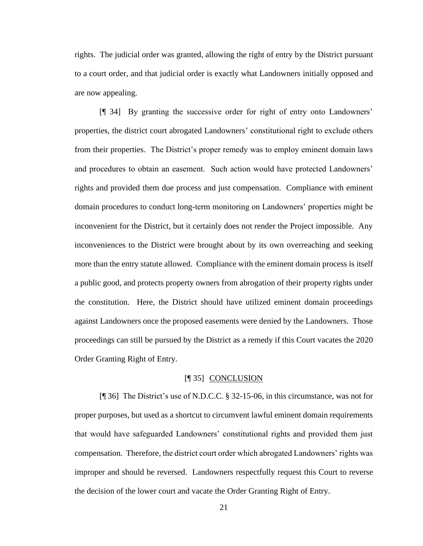rights. The judicial order was granted, allowing the right of entry by the District pursuant to a court order, and that judicial order is exactly what Landowners initially opposed and are now appealing.

[¶ 34] By granting the successive order for right of entry onto Landowners' properties, the district court abrogated Landowners' constitutional right to exclude others from their properties. The District's proper remedy was to employ eminent domain laws and procedures to obtain an easement. Such action would have protected Landowners' rights and provided them due process and just compensation. Compliance with eminent domain procedures to conduct long-term monitoring on Landowners' properties might be inconvenient for the District, but it certainly does not render the Project impossible. Any inconveniences to the District were brought about by its own overreaching and seeking more than the entry statute allowed. Compliance with the eminent domain process is itself a public good, and protects property owners from abrogation of their property rights under the constitution. Here, the District should have utilized eminent domain proceedings against Landowners once the proposed easements were denied by the Landowners. Those proceedings can still be pursued by the District as a remedy if this Court vacates the 2020 Order Granting Right of Entry.

#### [¶ 35] CONCLUSION

[¶ 36] The District's use of N.D.C.C. § 32-15-06, in this circumstance, was not for proper purposes, but used as a shortcut to circumvent lawful eminent domain requirements that would have safeguarded Landowners' constitutional rights and provided them just compensation. Therefore, the district court order which abrogated Landowners' rights was improper and should be reversed. Landowners respectfully request this Court to reverse the decision of the lower court and vacate the Order Granting Right of Entry.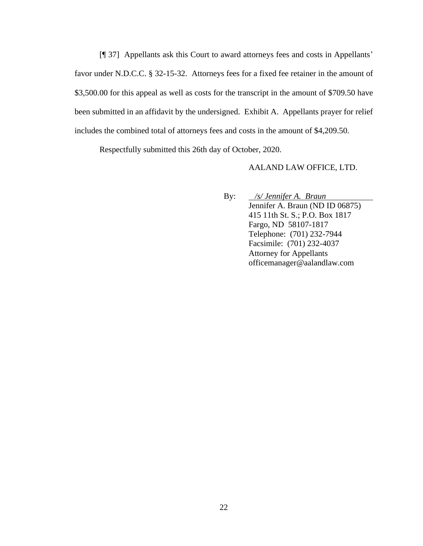[¶ 37] Appellants ask this Court to award attorneys fees and costs in Appellants' favor under N.D.C.C. § 32-15-32. Attorneys fees for a fixed fee retainer in the amount of \$3,500.00 for this appeal as well as costs for the transcript in the amount of \$709.50 have been submitted in an affidavit by the undersigned. Exhibit A. Appellants prayer for relief includes the combined total of attorneys fees and costs in the amount of \$4,209.50.

Respectfully submitted this 26th day of October, 2020.

AALAND LAW OFFICE, LTD.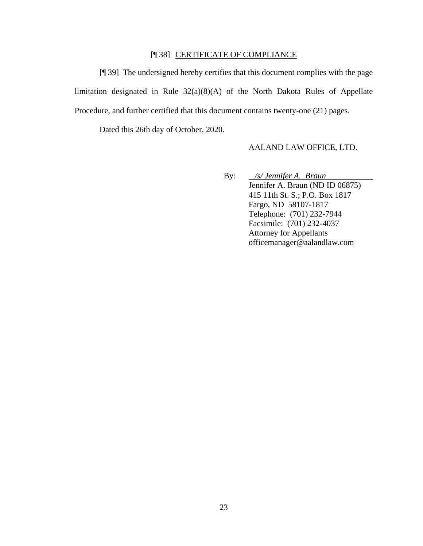# [¶ 38] CERTIFICATE OF COMPLIANCE

[¶ 39] The undersigned hereby certifies that this document complies with the page limitation designated in Rule 32(a)(8)(A) of the North Dakota Rules of Appellate Procedure, and further certified that this document contains twenty-one (21) pages.

Dated this 26th day of October, 2020.

#### AALAND LAW OFFICE, LTD.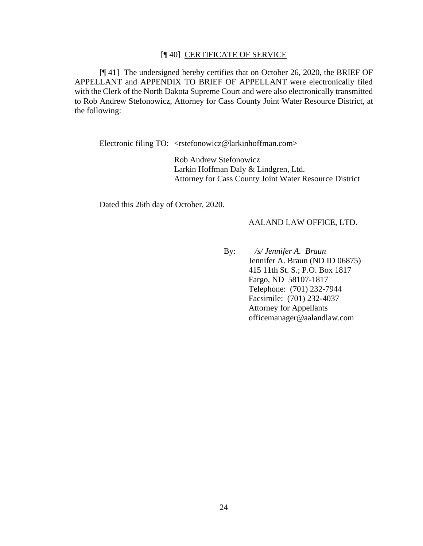#### [¶ 40] CERTIFICATE OF SERVICE

[¶ 41] The undersigned hereby certifies that on October 26, 2020, the BRIEF OF APPELLANT and APPENDIX TO BRIEF OF APPELLANT were electronically filed with the Clerk of the North Dakota Supreme Court and were also electronically transmitted to Rob Andrew Stefonowicz, Attorney for Cass County Joint Water Resource District, at the following:

Electronic filing TO: <rstefonowicz@larkinhoffman.com>

Rob Andrew Stefonowicz Larkin Hoffman Daly & Lindgren, Ltd. Attorney for Cass County Joint Water Resource District

Dated this 26th day of October, 2020.

#### AALAND LAW OFFICE, LTD.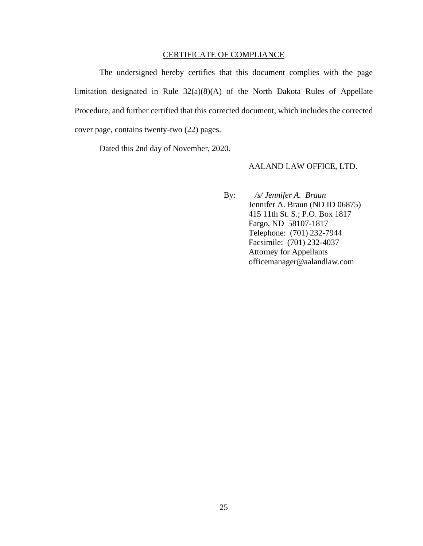#### CERTIFICATE OF COMPLIANCE

The undersigned hereby certifies that this document complies with the page limitation designated in Rule 32(a)(8)(A) of the North Dakota Rules of Appellate Procedure, and further certified that this corrected document, which includes the corrected cover page, contains twenty-two (22) pages.

Dated this 2nd day of November, 2020.

#### AALAND LAW OFFICE, LTD.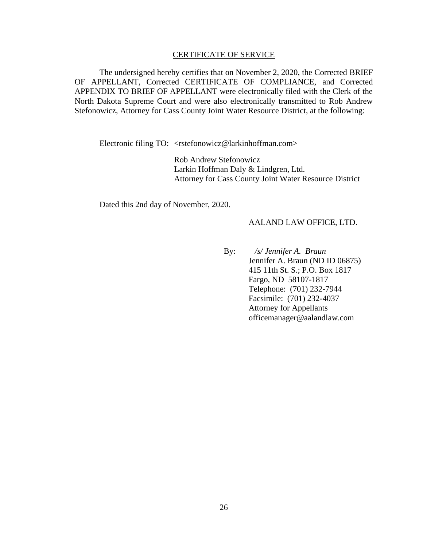#### CERTIFICATE OF SERVICE

The undersigned hereby certifies that on November 2, 2020, the Corrected BRIEF OF APPELLANT, Corrected CERTIFICATE OF COMPLIANCE, and Corrected APPENDIX TO BRIEF OF APPELLANT were electronically filed with the Clerk of the North Dakota Supreme Court and were also electronically transmitted to Rob Andrew Stefonowicz, Attorney for Cass County Joint Water Resource District, at the following:

Electronic filing TO: <rstefonowicz@larkinhoffman.com>

Rob Andrew Stefonowicz Larkin Hoffman Daly & Lindgren, Ltd. Attorney for Cass County Joint Water Resource District

Dated this 2nd day of November, 2020.

#### AALAND LAW OFFICE, LTD.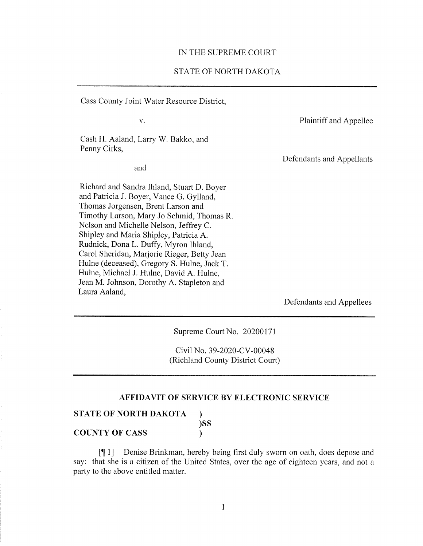#### IN THE SUPREME COURT

#### STATE OF NORTH DAKOTA

Cass County Joint Water Resource District,

 $V_{\star}$ 

Plaintiff and Appellee

Cash H. Aaland, Larry W. Bakko, and Penny Cirks,

and

Richard and Sandra Ihland, Stuart D. Boyer and Patricia J. Boyer, Vance G. Gylland, Thomas Jorgensen, Brent Larson and Timothy Larson, Mary Jo Schmid, Thomas R. Nelson and Michelle Nelson, Jeffrey C. Shipley and Maria Shipley, Patricia A. Rudnick, Dona L. Duffy, Myron Ihland, Carol Sheridan, Marjorie Rieger, Betty Jean Hulne (deceased), Gregory S. Hulne, Jack T. Hulne, Michael J. Hulne, David A. Hulne, Jean M. Johnson, Dorothy A. Stapleton and Laura Aaland,

Defendants and Appellants

Defendants and Appellees

Supreme Court No. 20200171

Civil No. 39-2020-CV-00048 (Richland County District Court)

### AFFIDAVIT OF SERVICE BY ELECTRONIC SERVICE

 $\mathcal{F}$ )SS

 $\mathbf{r}$ 

|  | STATE OF NORTH DAKOTA |  |
|--|-----------------------|--|
|  |                       |  |

**COUNTY OF CASS** 

[11] Denise Brinkman, hereby being first duly sworn on oath, does depose and say: that she is a citizen of the United States, over the age of eighteen years, and not a party to the above entitled matter.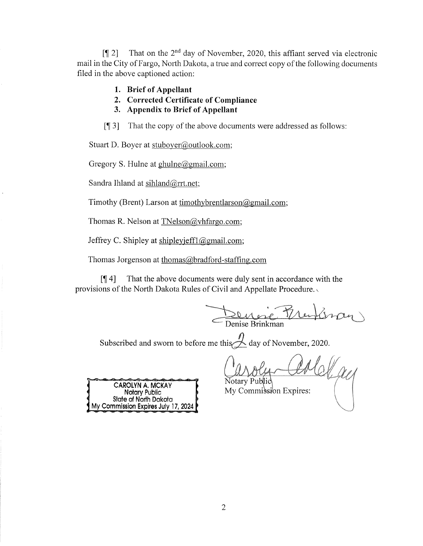That on the 2<sup>nd</sup> day of November, 2020, this affiant served via electronic  $\sqrt{121}$ mail in the City of Fargo, North Dakota, a true and correct copy of the following documents filed in the above captioned action:

- 1. Brief of Appellant
- 2. Corrected Certificate of Compliance
- 3. Appendix to Brief of Appellant

That the copy of the above documents were addressed as follows:  $\lceil \P 3 \rceil$ 

Stuart D. Boyer at stuboyer@outlook.com;

Gregory S. Hulne at  $ghulne@gmail.com$ ;

Sandra Ihland at sihland@rrt.net;

Timothy (Brent) Larson at timothybrentlarson  $\omega$ gmail.com;

Thomas R. Nelson at TNelson@vhfargo.com;

Jeffrey C. Shipley at shipleyjeff1@gmail.com;

Thomas Jorgenson at thomas@bradford-staffing.com

That the above documents were duly sent in accordance with the  $\P(4]$ provisions of the North Dakota Rules of Civil and Appellate Procedure.

Denise France

Subscribed and sworn to before me this  $\overline{\mathcal{A}}$  day of November, 2020.

CAROLYN A. MCKAY Notary Public<br>State of North Dakota<br>My Commission Expires July 17, 2024

∙ Public\ My Commission Expires: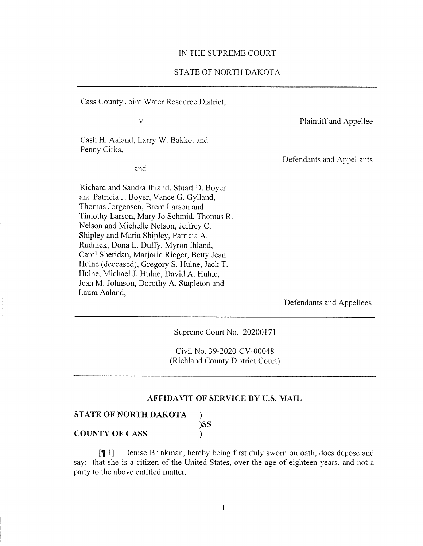#### IN THE SUPREME COURT

### STATE OF NORTH DAKOTA

Cass County Joint Water Resource District,

 $V.$ 

Plaintiff and Appellee

Cash H. Aaland, Larry W. Bakko, and Penny Cirks,

and

Richard and Sandra Ihland, Stuart D. Boyer and Patricia J. Boyer, Vance G. Gylland, Thomas Jorgensen, Brent Larson and Timothy Larson, Mary Jo Schmid, Thomas R. Nelson and Michelle Nelson, Jeffrey C. Shipley and Maria Shipley, Patricia A. Rudnick, Dona L. Duffy, Myron Ihland, Carol Sheridan, Marjorie Rieger, Betty Jean Hulne (deceased), Gregory S. Hulne, Jack T. Hulne, Michael J. Hulne, David A. Hulne, Jean M. Johnson, Dorothy A. Stapleton and Laura Aaland,

Defendants and Appellants

Defendants and Appellees

Supreme Court No. 20200171

Civil No. 39-2020-CV-00048 (Richland County District Court)

### AFFIDAVIT OF SERVICE BY U.S. MAIL

 $\mathcal{L}$  $)$ SS

 $\mathcal{L}$ 

### **STATE OF NORTH DAKOTA**

**COUNTY OF CASS** 

Denise Brinkman, hereby being first duly sworn on oath, does depose and  $[11]$ say: that she is a citizen of the United States, over the age of eighteen years, and not a party to the above entitled matter.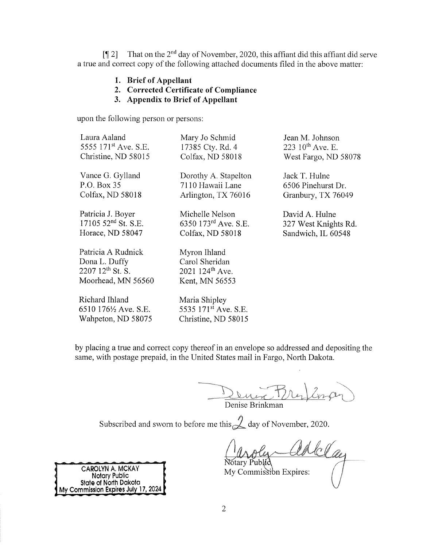That on the 2<sup>nd</sup> day of November, 2020, this affiant did this affiant did serve  $\lceil \P 2 \rceil$ a true and correct copy of the following attached documents filed in the above matter:

- 1. Brief of Appellant
- 2. Corrected Certificate of Compliance
- 3. Appendix to Brief of Appellant

upon the following person or persons:

| Laura Aaland                                                                                | Mary Jo Schmid                                                                  | Jean M. Johnson       |
|---------------------------------------------------------------------------------------------|---------------------------------------------------------------------------------|-----------------------|
| 5555 171 <sup>st</sup> Ave. S.E.                                                            | 17385 Cty. Rd. 4                                                                | 223 $10^{th}$ Ave. E. |
| Christine, ND 58015                                                                         | Colfax, ND 58018                                                                | West Fargo, ND 58078  |
| Vance G. Gylland                                                                            | Dorothy A. Stapelton                                                            | Jack T. Hulne         |
| P.O. Box 35                                                                                 | 7110 Hawaii Lane                                                                | 6506 Pinehurst Dr.    |
| Colfax, ND 58018                                                                            | Arlington, TX 76016                                                             | Granbury, TX 76049    |
| Patricia J. Boyer                                                                           | Michelle Nelson                                                                 | David A. Hulne        |
| $1710552^{nd}$ St. S.E.                                                                     | 6350 173rd Ave. S.E.                                                            | 327 West Knights Rd.  |
| Horace, ND 58047                                                                            | Colfax, ND 58018                                                                | Sandwich, IL 60548    |
| Patricia A Rudnick<br>Dona L. Duffy<br>$2207$ 12 <sup>th</sup> St. S.<br>Moorhead, MN 56560 | Myron Ihland<br>Carol Sheridan<br>2021 124 <sup>th</sup> Ave.<br>Kent, MN 56553 |                       |
| Richard Ihland<br>6510 $176\frac{1}{2}$ Ave. S.E.<br>Wahpeton, ND 58075                     | Maria Shipley<br>5535 171 <sup>st</sup> Ave. S.E.<br>Christine, ND 58015        |                       |

by placing a true and correct copy thereof in an envelope so addressed and depositing the same, with postage prepaid, in the United States mail in Fargo, North Dakota.

Denix Fre Denise Brinkman

Subscribed and sworn to before me this  $\mathcal Q$  day of November, 2020.

Notary Public My Commission Expires:

CAROLYN A. MCKAY Notary Public<br>State of North Dakota My Commission Expires July 17, 2024